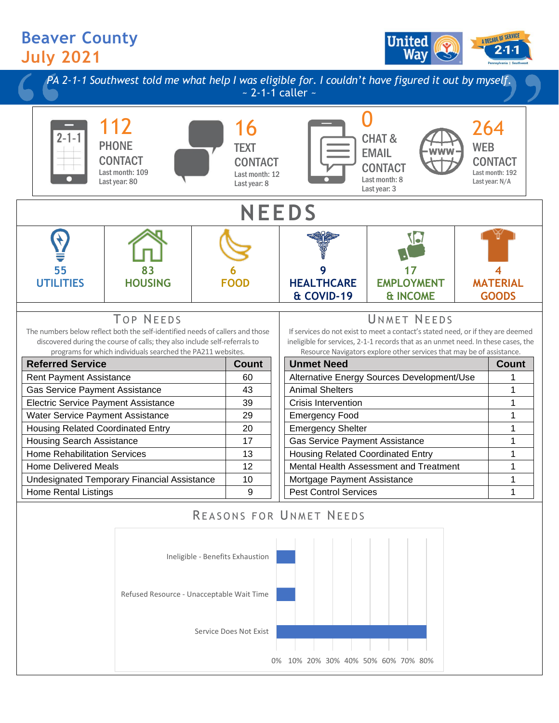## **Beaver County July 2021**





0% 10% 20% 30% 40% 50% 60% 70% 80%